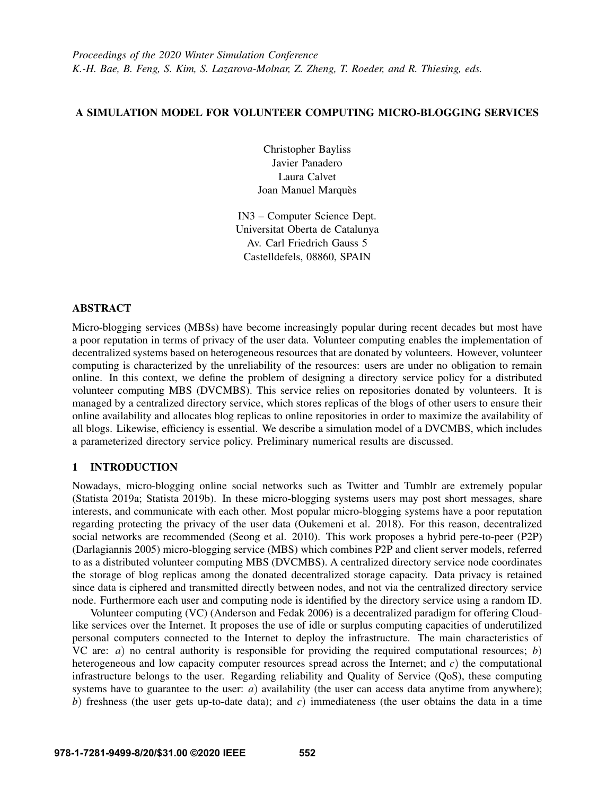# A SIMULATION MODEL FOR VOLUNTEER COMPUTING MICRO-BLOGGING SERVICES

Christopher Bayliss Javier Panadero Laura Calvet Joan Manuel Marquès

IN3 – Computer Science Dept. Universitat Oberta de Catalunya Av. Carl Friedrich Gauss 5 Castelldefels, 08860, SPAIN

# ABSTRACT

Micro-blogging services (MBSs) have become increasingly popular during recent decades but most have a poor reputation in terms of privacy of the user data. Volunteer computing enables the implementation of decentralized systems based on heterogeneous resources that are donated by volunteers. However, volunteer computing is characterized by the unreliability of the resources: users are under no obligation to remain online. In this context, we define the problem of designing a directory service policy for a distributed volunteer computing MBS (DVCMBS). This service relies on repositories donated by volunteers. It is managed by a centralized directory service, which stores replicas of the blogs of other users to ensure their online availability and allocates blog replicas to online repositories in order to maximize the availability of all blogs. Likewise, efficiency is essential. We describe a simulation model of a DVCMBS, which includes a parameterized directory service policy. Preliminary numerical results are discussed.

# 1 INTRODUCTION

Nowadays, micro-blogging online social networks such as Twitter and Tumblr are extremely popular [\(Statista 2019a;](#page-10-0) [Statista 2019b\)](#page-10-1). In these micro-blogging systems users may post short messages, share interests, and communicate with each other. Most popular micro-blogging systems have a poor reputation regarding protecting the privacy of the user data [\(Oukemeni et al. 2018\)](#page-10-2). For this reason, decentralized social networks are recommended [\(Seong et al. 2010\)](#page-10-3). This work proposes a hybrid pere-to-peer (P2P) [\(Darlagiannis 2005\)](#page-9-0) micro-blogging service (MBS) which combines P2P and client server models, referred to as a distributed volunteer computing MBS (DVCMBS). A centralized directory service node coordinates the storage of blog replicas among the donated decentralized storage capacity. Data privacy is retained since data is ciphered and transmitted directly between nodes, and not via the centralized directory service node. Furthermore each user and computing node is identified by the directory service using a random ID.

Volunteer computing (VC) [\(Anderson and Fedak 2006\)](#page-9-1) is a decentralized paradigm for offering Cloudlike services over the Internet. It proposes the use of idle or surplus computing capacities of underutilized personal computers connected to the Internet to deploy the infrastructure. The main characteristics of VC are: *a*) no central authority is responsible for providing the required computational resources; *b*) heterogeneous and low capacity computer resources spread across the Internet; and *c*) the computational infrastructure belongs to the user. Regarding reliability and Quality of Service (QoS), these computing systems have to guarantee to the user: *a*) availability (the user can access data anytime from anywhere); *b*) freshness (the user gets up-to-date data); and *c*) immediateness (the user obtains the data in a time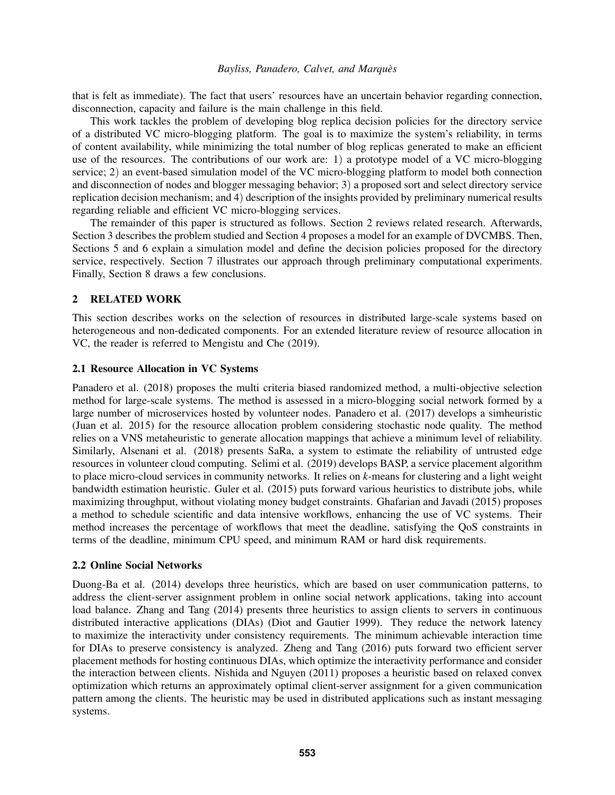### *Bayliss, Panadero, Calvet, and Marques`*

that is felt as immediate). The fact that users' resources have an uncertain behavior regarding connection, disconnection, capacity and failure is the main challenge in this field.

This work tackles the problem of developing blog replica decision policies for the directory service of a distributed VC micro-blogging platform. The goal is to maximize the system's reliability, in terms of content availability, while minimizing the total number of blog replicas generated to make an efficient use of the resources. The contributions of our work are: 1) a prototype model of a VC micro-blogging service; 2) an event-based simulation model of the VC micro-blogging platform to model both connection and disconnection of nodes and blogger messaging behavior; 3) a proposed sort and select directory service replication decision mechanism; and 4) description of the insights provided by preliminary numerical results regarding reliable and efficient VC micro-blogging services.

The remainder of this paper is structured as follows. Section [2](#page-1-0) reviews related research. Afterwards, Section [3](#page-2-0) describes the problem studied and Section [4](#page-2-1) proposes a model for an example of DVCMBS. Then, Sections [5](#page-2-2) and [6](#page-4-0) explain a simulation model and define the decision policies proposed for the directory service, respectively. Section [7](#page-5-0) illustrates our approach through preliminary computational experiments. Finally, Section [8](#page-8-0) draws a few conclusions.

# <span id="page-1-0"></span>2 RELATED WORK

This section describes works on the selection of resources in distributed large-scale systems based on heterogeneous and non-dedicated components. For an extended literature review of resource allocation in VC, the reader is referred to [Mengistu and Che \(2019\).](#page-10-4)

## 2.1 Resource Allocation in VC Systems

[Panadero et al. \(2018\)](#page-10-5) proposes the multi criteria biased randomized method, a multi-objective selection method for large-scale systems. The method is assessed in a micro-blogging social network formed by a large number of microservices hosted by volunteer nodes. [Panadero et al. \(2017\)](#page-10-6) develops a simheuristic [\(Juan et al. 2015\)](#page-10-7) for the resource allocation problem considering stochastic node quality. The method relies on a VNS metaheuristic to generate allocation mappings that achieve a minimum level of reliability. Similarly, [Alsenani et al. \(2018\)](#page-9-2) presents SaRa, a system to estimate the reliability of untrusted edge resources in volunteer cloud computing. [Selimi et al. \(2019\)](#page-10-8) develops BASP, a service placement algorithm to place micro-cloud services in community networks. It relies on *k*-means for clustering and a light weight bandwidth estimation heuristic. [Guler et al. \(2015\)](#page-10-9) puts forward various heuristics to distribute jobs, while maximizing throughput, without violating money budget constraints. [Ghafarian and Javadi \(2015\)](#page-10-10) proposes a method to schedule scientific and data intensive workflows, enhancing the use of VC systems. Their method increases the percentage of workflows that meet the deadline, satisfying the QoS constraints in terms of the deadline, minimum CPU speed, and minimum RAM or hard disk requirements.

## 2.2 Online Social Networks

[Duong-Ba et al. \(2014\)](#page-10-11) develops three heuristics, which are based on user communication patterns, to address the client-server assignment problem in online social network applications, taking into account load balance. [Zhang and Tang \(2014\)](#page-10-12) presents three heuristics to assign clients to servers in continuous distributed interactive applications (DIAs) [\(Diot and Gautier 1999\)](#page-10-13). They reduce the network latency to maximize the interactivity under consistency requirements. The minimum achievable interaction time for DIAs to preserve consistency is analyzed. [Zheng and Tang \(2016\)](#page-10-14) puts forward two efficient server placement methods for hosting continuous DIAs, which optimize the interactivity performance and consider the interaction between clients. [Nishida and Nguyen \(2011\)](#page-10-15) proposes a heuristic based on relaxed convex optimization which returns an approximately optimal client-server assignment for a given communication pattern among the clients. The heuristic may be used in distributed applications such as instant messaging systems.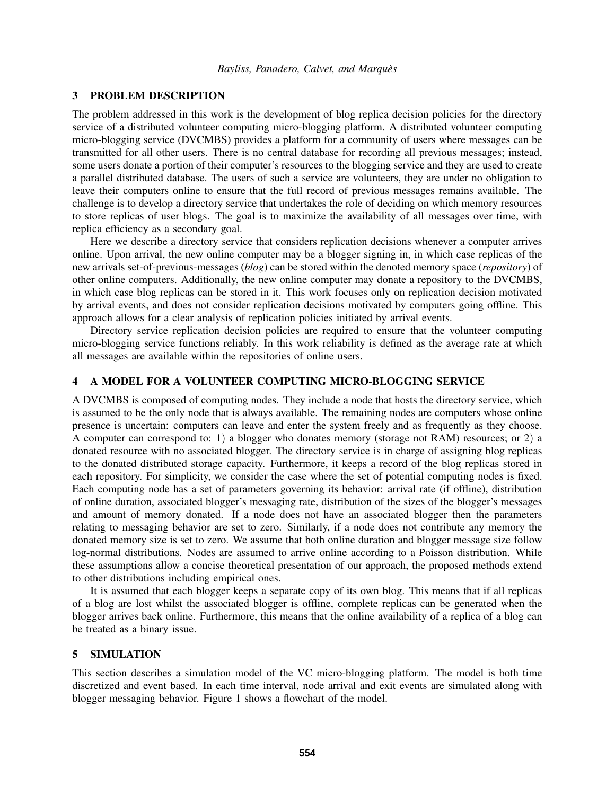### <span id="page-2-0"></span>3 PROBLEM DESCRIPTION

The problem addressed in this work is the development of blog replica decision policies for the directory service of a distributed volunteer computing micro-blogging platform. A distributed volunteer computing micro-blogging service (DVCMBS) provides a platform for a community of users where messages can be transmitted for all other users. There is no central database for recording all previous messages; instead, some users donate a portion of their computer's resources to the blogging service and they are used to create a parallel distributed database. The users of such a service are volunteers, they are under no obligation to leave their computers online to ensure that the full record of previous messages remains available. The challenge is to develop a directory service that undertakes the role of deciding on which memory resources to store replicas of user blogs. The goal is to maximize the availability of all messages over time, with replica efficiency as a secondary goal.

Here we describe a directory service that considers replication decisions whenever a computer arrives online. Upon arrival, the new online computer may be a blogger signing in, in which case replicas of the new arrivals set-of-previous-messages (*blog*) can be stored within the denoted memory space (*repository*) of other online computers. Additionally, the new online computer may donate a repository to the DVCMBS, in which case blog replicas can be stored in it. This work focuses only on replication decision motivated by arrival events, and does not consider replication decisions motivated by computers going offline. This approach allows for a clear analysis of replication policies initiated by arrival events.

Directory service replication decision policies are required to ensure that the volunteer computing micro-blogging service functions reliably. In this work reliability is defined as the average rate at which all messages are available within the repositories of online users.

# <span id="page-2-1"></span>4 A MODEL FOR A VOLUNTEER COMPUTING MICRO-BLOGGING SERVICE

A DVCMBS is composed of computing nodes. They include a node that hosts the directory service, which is assumed to be the only node that is always available. The remaining nodes are computers whose online presence is uncertain: computers can leave and enter the system freely and as frequently as they choose. A computer can correspond to: 1) a blogger who donates memory (storage not RAM) resources; or 2) a donated resource with no associated blogger. The directory service is in charge of assigning blog replicas to the donated distributed storage capacity. Furthermore, it keeps a record of the blog replicas stored in each repository. For simplicity, we consider the case where the set of potential computing nodes is fixed. Each computing node has a set of parameters governing its behavior: arrival rate (if offline), distribution of online duration, associated blogger's messaging rate, distribution of the sizes of the blogger's messages and amount of memory donated. If a node does not have an associated blogger then the parameters relating to messaging behavior are set to zero. Similarly, if a node does not contribute any memory the donated memory size is set to zero. We assume that both online duration and blogger message size follow log-normal distributions. Nodes are assumed to arrive online according to a Poisson distribution. While these assumptions allow a concise theoretical presentation of our approach, the proposed methods extend to other distributions including empirical ones.

It is assumed that each blogger keeps a separate copy of its own blog. This means that if all replicas of a blog are lost whilst the associated blogger is offline, complete replicas can be generated when the blogger arrives back online. Furthermore, this means that the online availability of a replica of a blog can be treated as a binary issue.

### <span id="page-2-2"></span>5 SIMULATION

This section describes a simulation model of the VC micro-blogging platform. The model is both time discretized and event based. In each time interval, node arrival and exit events are simulated along with blogger messaging behavior. Figure [1](#page-3-0) shows a flowchart of the model.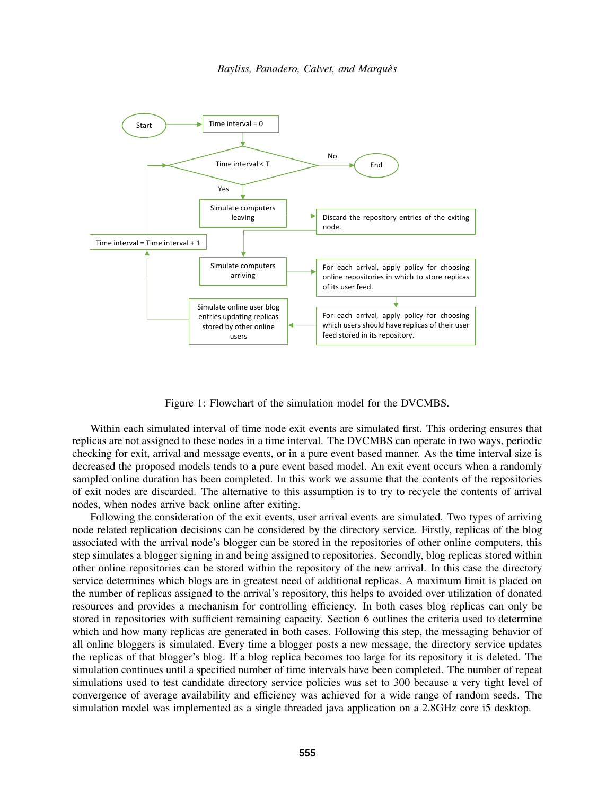

<span id="page-3-0"></span>Figure 1: Flowchart of the simulation model for the DVCMBS.

Within each simulated interval of time node exit events are simulated first. This ordering ensures that replicas are not assigned to these nodes in a time interval. The DVCMBS can operate in two ways, periodic checking for exit, arrival and message events, or in a pure event based manner. As the time interval size is decreased the proposed models tends to a pure event based model. An exit event occurs when a randomly sampled online duration has been completed. In this work we assume that the contents of the repositories of exit nodes are discarded. The alternative to this assumption is to try to recycle the contents of arrival nodes, when nodes arrive back online after exiting.

Following the consideration of the exit events, user arrival events are simulated. Two types of arriving node related replication decisions can be considered by the directory service. Firstly, replicas of the blog associated with the arrival node's blogger can be stored in the repositories of other online computers, this step simulates a blogger signing in and being assigned to repositories. Secondly, blog replicas stored within other online repositories can be stored within the repository of the new arrival. In this case the directory service determines which blogs are in greatest need of additional replicas. A maximum limit is placed on the number of replicas assigned to the arrival's repository, this helps to avoided over utilization of donated resources and provides a mechanism for controlling efficiency. In both cases blog replicas can only be stored in repositories with sufficient remaining capacity. Section [6](#page-4-0) outlines the criteria used to determine which and how many replicas are generated in both cases. Following this step, the messaging behavior of all online bloggers is simulated. Every time a blogger posts a new message, the directory service updates the replicas of that blogger's blog. If a blog replica becomes too large for its repository it is deleted. The simulation continues until a specified number of time intervals have been completed. The number of repeat simulations used to test candidate directory service policies was set to 300 because a very tight level of convergence of average availability and efficiency was achieved for a wide range of random seeds. The simulation model was implemented as a single threaded java application on a 2.8GHz core i5 desktop.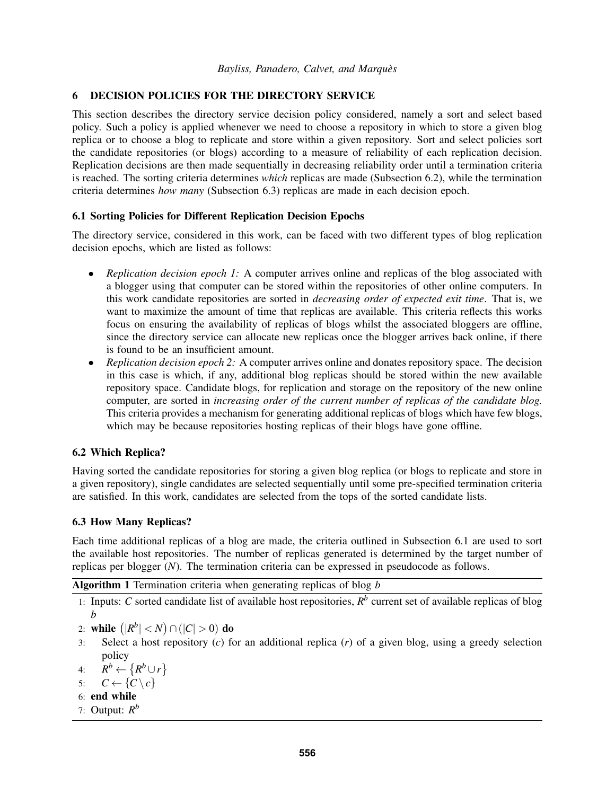# <span id="page-4-0"></span>6 DECISION POLICIES FOR THE DIRECTORY SERVICE

This section describes the directory service decision policy considered, namely a sort and select based policy. Such a policy is applied whenever we need to choose a repository in which to store a given blog replica or to choose a blog to replicate and store within a given repository. Sort and select policies sort the candidate repositories (or blogs) according to a measure of reliability of each replication decision. Replication decisions are then made sequentially in decreasing reliability order until a termination criteria is reached. The sorting criteria determines *which* replicas are made (Subsection [6.2\)](#page-4-1), while the termination criteria determines *how many* (Subsection [6.3\)](#page-4-2) replicas are made in each decision epoch.

# <span id="page-4-3"></span>6.1 Sorting Policies for Different Replication Decision Epochs

The directory service, considered in this work, can be faced with two different types of blog replication decision epochs, which are listed as follows:

- *Replication decision epoch 1:* A computer arrives online and replicas of the blog associated with a blogger using that computer can be stored within the repositories of other online computers. In this work candidate repositories are sorted in *decreasing order of expected exit time*. That is, we want to maximize the amount of time that replicas are available. This criteria reflects this works focus on ensuring the availability of replicas of blogs whilst the associated bloggers are offline, since the directory service can allocate new replicas once the blogger arrives back online, if there is found to be an insufficient amount.
- *Replication decision epoch 2:* A computer arrives online and donates repository space. The decision in this case is which, if any, additional blog replicas should be stored within the new available repository space. Candidate blogs, for replication and storage on the repository of the new online computer, are sorted in *increasing order of the current number of replicas of the candidate blog.* This criteria provides a mechanism for generating additional replicas of blogs which have few blogs, which may be because repositories hosting replicas of their blogs have gone offline.

# <span id="page-4-1"></span>6.2 Which Replica?

Having sorted the candidate repositories for storing a given blog replica (or blogs to replicate and store in a given repository), single candidates are selected sequentially until some pre-specified termination criteria are satisfied. In this work, candidates are selected from the tops of the sorted candidate lists.

## <span id="page-4-2"></span>6.3 How Many Replicas?

Each time additional replicas of a blog are made, the criteria outlined in Subsection [6.1](#page-4-3) are used to sort the available host repositories. The number of replicas generated is determined by the target number of replicas per blogger (*N*). The termination criteria can be expressed in pseudocode as follows.

Algorithm 1 Termination criteria when generating replicas of blog *b*

- 1: Inputs: *C* sorted candidate list of available host repositories,  $R^b$  current set of available replicas of blog *b*
- 2: while  $(|R^b| < N) \cap (|C| > 0)$  do
- 3: Select a host repository (*c*) for an additional replica (*r*) of a given blog, using a greedy selection policy
- 4:  $R^b \leftarrow \{ R^b \cup r \}$
- 5:  $C \leftarrow \{C \setminus c\}$
- 6: end while
- 7: Output:  $R^b$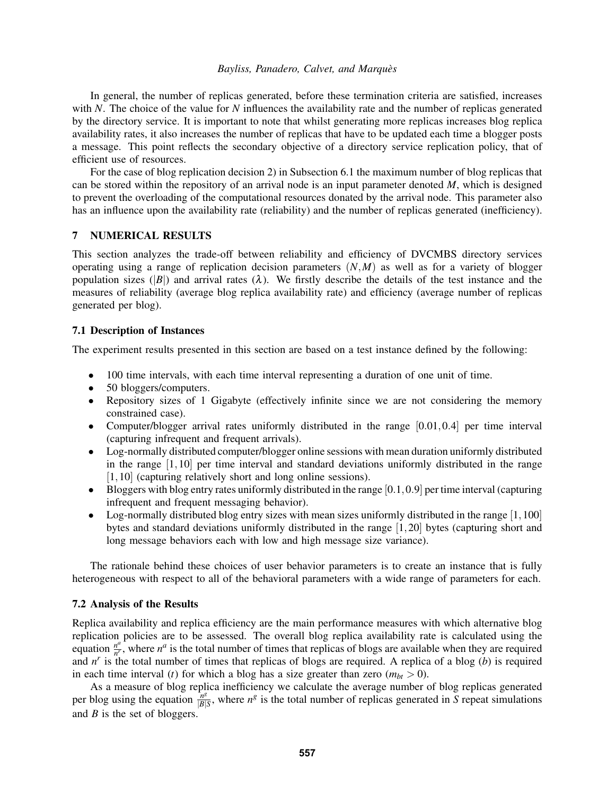#### *Bayliss, Panadero, Calvet, and Marques`*

In general, the number of replicas generated, before these termination criteria are satisfied, increases with *N*. The choice of the value for *N* influences the availability rate and the number of replicas generated by the directory service. It is important to note that whilst generating more replicas increases blog replica availability rates, it also increases the number of replicas that have to be updated each time a blogger posts a message. This point reflects the secondary objective of a directory service replication policy, that of efficient use of resources.

For the case of blog replication decision 2) in Subsection [6.1](#page-4-3) the maximum number of blog replicas that can be stored within the repository of an arrival node is an input parameter denoted *M*, which is designed to prevent the overloading of the computational resources donated by the arrival node. This parameter also has an influence upon the availability rate (reliability) and the number of replicas generated (inefficiency).

### <span id="page-5-0"></span>7 NUMERICAL RESULTS

This section analyzes the trade-off between reliability and efficiency of DVCMBS directory services operating using a range of replication decision parameters (*N*,*M*) as well as for a variety of blogger population sizes ( $|B|$ ) and arrival rates ( $\lambda$ ). We firstly describe the details of the test instance and the measures of reliability (average blog replica availability rate) and efficiency (average number of replicas generated per blog).

### <span id="page-5-1"></span>7.1 Description of Instances

The experiment results presented in this section are based on a test instance defined by the following:

- 100 time intervals, with each time interval representing a duration of one unit of time.
- 50 bloggers/computers.
- Repository sizes of 1 Gigabyte (effectively infinite since we are not considering the memory constrained case).
- Computer/blogger arrival rates uniformly distributed in the range  $[0.01, 0.4]$  per time interval (capturing infrequent and frequent arrivals).
- Log-normally distributed computer/blogger online sessions with mean duration uniformly distributed in the range [1,10] per time interval and standard deviations uniformly distributed in the range [1,10] (capturing relatively short and long online sessions).
- Bloggers with blog entry rates uniformly distributed in the range  $[0.1, 0.9]$  per time interval (capturing infrequent and frequent messaging behavior).
- Log-normally distributed blog entry sizes with mean sizes uniformly distributed in the range  $[1,100]$ bytes and standard deviations uniformly distributed in the range [1,20] bytes (capturing short and long message behaviors each with low and high message size variance).

The rationale behind these choices of user behavior parameters is to create an instance that is fully heterogeneous with respect to all of the behavioral parameters with a wide range of parameters for each.

### 7.2 Analysis of the Results

Replica availability and replica efficiency are the main performance measures with which alternative blog replication policies are to be assessed. The overall blog replica availability rate is calculated using the equation  $\frac{n^a}{n^r}$  $n^{\frac{n}{n^r}}$ , where  $n^a$  is the total number of times that replicas of blogs are available when they are required and  $n^r$  is the total number of times that replicas of blogs are required. A replica of a blog (b) is required in each time interval (*t*) for which a blog has a size greater than zero ( $m_{bt} > 0$ ).

As a measure of blog replica inefficiency we calculate the average number of blog replicas generated per blog using the equation  $\frac{n^g}{|B|}$  $\frac{n^g}{|B|S}$ , where  $n^g$  is the total number of replicas generated in *S* repeat simulations and *B* is the set of bloggers.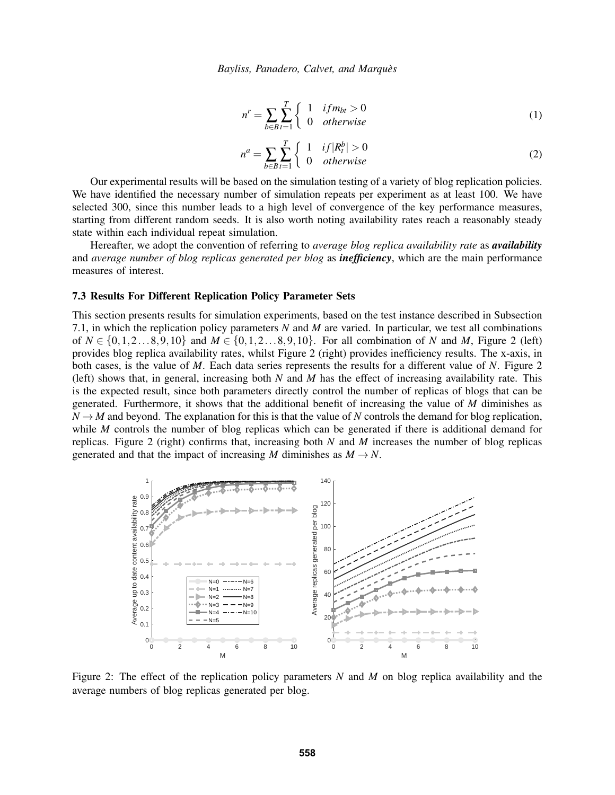$$
n^r = \sum_{b \in B} \sum_{t=1}^T \begin{cases} 1 & if m_{bt} > 0 \\ 0 & otherwise \end{cases}
$$
 (1)

$$
n^a = \sum_{b \in B} \sum_{t=1}^T \begin{cases} 1 & \text{if } |R_t^b| > 0 \\ 0 & \text{otherwise} \end{cases} \tag{2}
$$

Our experimental results will be based on the simulation testing of a variety of blog replication policies. We have identified the necessary number of simulation repeats per experiment as at least 100. We have selected 300, since this number leads to a high level of convergence of the key performance measures, starting from different random seeds. It is also worth noting availability rates reach a reasonably steady state within each individual repeat simulation.

Hereafter, we adopt the convention of referring to *average blog replica availability rate* as *availability* and *average number of blog replicas generated per blog* as *inefficiency*, which are the main performance measures of interest.

#### 7.3 Results For Different Replication Policy Parameter Sets

This section presents results for simulation experiments, based on the test instance described in Subsection [7.1,](#page-5-1) in which the replication policy parameters *N* and *M* are varied. In particular, we test all combinations of  $N \in \{0, 1, 2...8, 9, 10\}$  $N \in \{0, 1, 2...8, 9, 10\}$  $N \in \{0, 1, 2...8, 9, 10\}$  and  $M \in \{0, 1, 2...8, 9, 10\}$ . For all combination of *N* and *M*, Figure 2 (left) provides blog replica availability rates, whilst Figure [2](#page-6-0) (right) provides inefficiency results. The x-axis, in both cases, is the value of *M*. Each data series represents the results for a different value of *N*. Figure [2](#page-6-0) (left) shows that, in general, increasing both *N* and *M* has the effect of increasing availability rate. This is the expected result, since both parameters directly control the number of replicas of blogs that can be generated. Furthermore, it shows that the additional benefit of increasing the value of *M* diminishes as  $N \rightarrow M$  and beyond. The explanation for this is that the value of *N* controls the demand for blog replication, while *M* controls the number of blog replicas which can be generated if there is additional demand for replicas. Figure [2](#page-6-0) (right) confirms that, increasing both *N* and *M* increases the number of blog replicas generated and that the impact of increasing *M* diminishes as  $M \rightarrow N$ .



<span id="page-6-0"></span>Figure 2: The effect of the replication policy parameters *N* and *M* on blog replica availability and the average numbers of blog replicas generated per blog.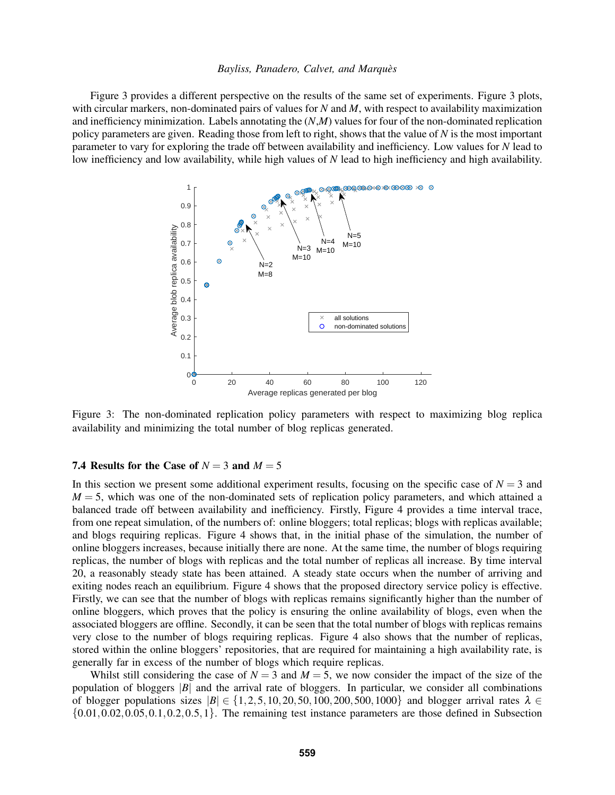#### *Bayliss, Panadero, Calvet, and Marques`*

Figure [3](#page-7-0) provides a different perspective on the results of the same set of experiments. Figure [3](#page-7-0) plots, with circular markers, non-dominated pairs of values for *N* and *M*, with respect to availability maximization and inefficiency minimization. Labels annotating the (*N*,*M*) values for four of the non-dominated replication policy parameters are given. Reading those from left to right, shows that the value of *N* is the most important parameter to vary for exploring the trade off between availability and inefficiency. Low values for *N* lead to low inefficiency and low availability, while high values of *N* lead to high inefficiency and high availability.



<span id="page-7-0"></span>Figure 3: The non-dominated replication policy parameters with respect to maximizing blog replica availability and minimizing the total number of blog replicas generated.

### 7.4 Results for the Case of  $N = 3$  and  $M = 5$

In this section we present some additional experiment results, focusing on the specific case of  $N = 3$  and  $M = 5$ , which was one of the non-dominated sets of replication policy parameters, and which attained a balanced trade off between availability and inefficiency. Firstly, Figure [4](#page-8-1) provides a time interval trace, from one repeat simulation, of the numbers of: online bloggers; total replicas; blogs with replicas available; and blogs requiring replicas. Figure [4](#page-8-1) shows that, in the initial phase of the simulation, the number of online bloggers increases, because initially there are none. At the same time, the number of blogs requiring replicas, the number of blogs with replicas and the total number of replicas all increase. By time interval 20, a reasonably steady state has been attained. A steady state occurs when the number of arriving and exiting nodes reach an equilibrium. Figure [4](#page-8-1) shows that the proposed directory service policy is effective. Firstly, we can see that the number of blogs with replicas remains significantly higher than the number of online bloggers, which proves that the policy is ensuring the online availability of blogs, even when the associated bloggers are offline. Secondly, it can be seen that the total number of blogs with replicas remains very close to the number of blogs requiring replicas. Figure [4](#page-8-1) also shows that the number of replicas, stored within the online bloggers' repositories, that are required for maintaining a high availability rate, is generally far in excess of the number of blogs which require replicas.

Whilst still considering the case of  $N = 3$  and  $M = 5$ , we now consider the impact of the size of the population of bloggers |*B*| and the arrival rate of bloggers. In particular, we consider all combinations of blogger populations sizes  $|B| \in \{1, 2, 5, 10, 20, 50, 100, 200, 500, 1000\}$  and blogger arrival rates  $\lambda \in$  $\{0.01, 0.02, 0.05, 0.1, 0.2, 0.5, 1\}$ . The remaining test instance parameters are those defined in Subsection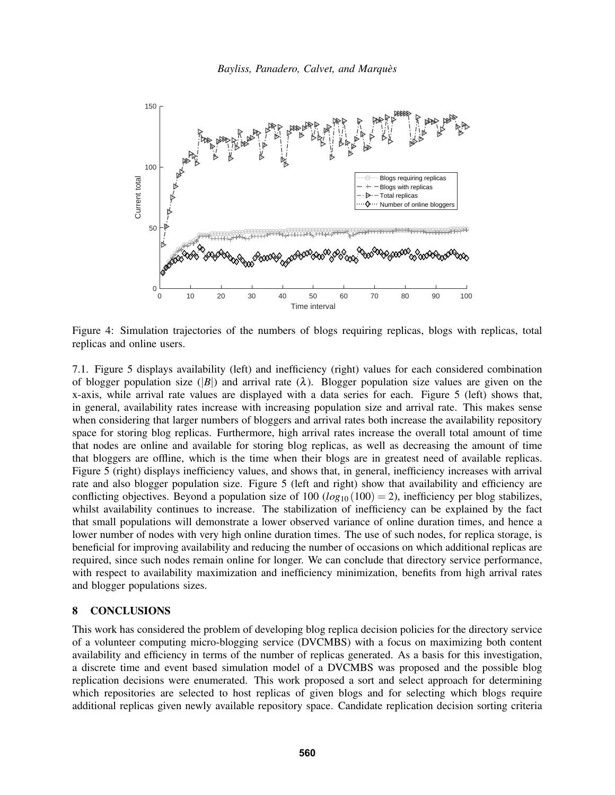

<span id="page-8-1"></span>Figure 4: Simulation trajectories of the numbers of blogs requiring replicas, blogs with replicas, total replicas and online users.

[7.1.](#page-5-1) Figure [5](#page-9-3) displays availability (left) and inefficiency (right) values for each considered combination of blogger population size ( $|B|$ ) and arrival rate ( $\lambda$ ). Blogger population size values are given on the x-axis, while arrival rate values are displayed with a data series for each. Figure [5](#page-9-3) (left) shows that, in general, availability rates increase with increasing population size and arrival rate. This makes sense when considering that larger numbers of bloggers and arrival rates both increase the availability repository space for storing blog replicas. Furthermore, high arrival rates increase the overall total amount of time that nodes are online and available for storing blog replicas, as well as decreasing the amount of time that bloggers are offline, which is the time when their blogs are in greatest need of available replicas. Figure [5](#page-9-3) (right) displays inefficiency values, and shows that, in general, inefficiency increases with arrival rate and also blogger population size. Figure [5](#page-9-3) (left and right) show that availability and efficiency are conflicting objectives. Beyond a population size of  $100 (log_{10}(100) = 2)$ , inefficiency per blog stabilizes, whilst availability continues to increase. The stabilization of inefficiency can be explained by the fact that small populations will demonstrate a lower observed variance of online duration times, and hence a lower number of nodes with very high online duration times. The use of such nodes, for replica storage, is beneficial for improving availability and reducing the number of occasions on which additional replicas are required, since such nodes remain online for longer. We can conclude that directory service performance, with respect to availability maximization and inefficiency minimization, benefits from high arrival rates and blogger populations sizes.

### <span id="page-8-0"></span>8 CONCLUSIONS

This work has considered the problem of developing blog replica decision policies for the directory service of a volunteer computing micro-blogging service (DVCMBS) with a focus on maximizing both content availability and efficiency in terms of the number of replicas generated. As a basis for this investigation, a discrete time and event based simulation model of a DVCMBS was proposed and the possible blog replication decisions were enumerated. This work proposed a sort and select approach for determining which repositories are selected to host replicas of given blogs and for selecting which blogs require additional replicas given newly available repository space. Candidate replication decision sorting criteria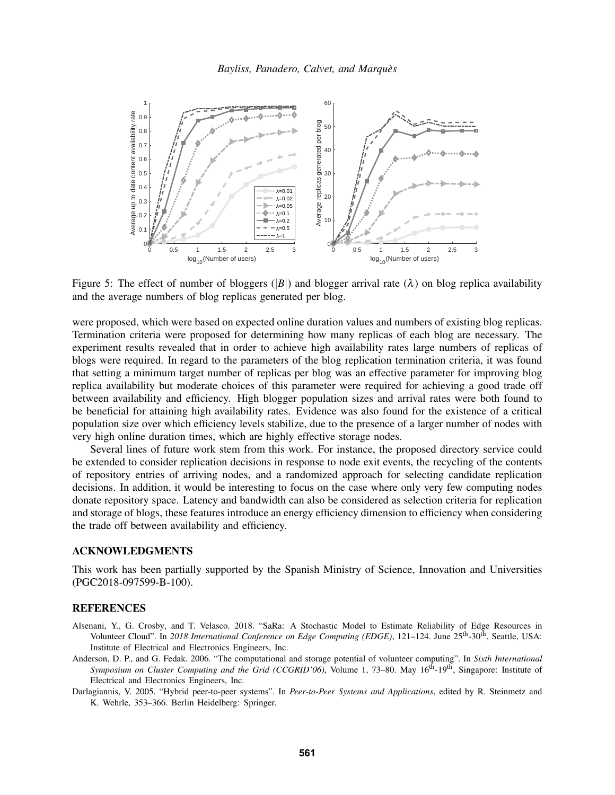

<span id="page-9-3"></span>Figure 5: The effect of number of bloggers (|*B*|) and blogger arrival rate ( $\lambda$ ) on blog replica availability and the average numbers of blog replicas generated per blog.

were proposed, which were based on expected online duration values and numbers of existing blog replicas. Termination criteria were proposed for determining how many replicas of each blog are necessary. The experiment results revealed that in order to achieve high availability rates large numbers of replicas of blogs were required. In regard to the parameters of the blog replication termination criteria, it was found that setting a minimum target number of replicas per blog was an effective parameter for improving blog replica availability but moderate choices of this parameter were required for achieving a good trade off between availability and efficiency. High blogger population sizes and arrival rates were both found to be beneficial for attaining high availability rates. Evidence was also found for the existence of a critical population size over which efficiency levels stabilize, due to the presence of a larger number of nodes with very high online duration times, which are highly effective storage nodes.

Several lines of future work stem from this work. For instance, the proposed directory service could be extended to consider replication decisions in response to node exit events, the recycling of the contents of repository entries of arriving nodes, and a randomized approach for selecting candidate replication decisions. In addition, it would be interesting to focus on the case where only very few computing nodes donate repository space. Latency and bandwidth can also be considered as selection criteria for replication and storage of blogs, these features introduce an energy efficiency dimension to efficiency when considering the trade off between availability and efficiency.

### ACKNOWLEDGMENTS

This work has been partially supported by the Spanish Ministry of Science, Innovation and Universities (PGC2018-097599-B-100).

### **REFERENCES**

- <span id="page-9-2"></span>Alsenani, Y., G. Crosby, and T. Velasco. 2018. "SaRa: A Stochastic Model to Estimate Reliability of Edge Resources in Volunteer Cloud". In *2018 International Conference on Edge Computing (EDGE)*, 121–124. June 25th-30th, Seattle, USA: Institute of Electrical and Electronics Engineers, Inc.
- <span id="page-9-1"></span>Anderson, D. P., and G. Fedak. 2006. "The computational and storage potential of volunteer computing". In *Sixth International Symposium on Cluster Computing and the Grid (CCGRID'06)*, Volume 1, 73–80. May 16<sup>th</sup>-19<sup>th</sup>, Singapore: Institute of Electrical and Electronics Engineers, Inc.
- <span id="page-9-0"></span>Darlagiannis, V. 2005. "Hybrid peer-to-peer systems". In *Peer-to-Peer Systems and Applications*, edited by R. Steinmetz and K. Wehrle, 353–366. Berlin Heidelberg: Springer.